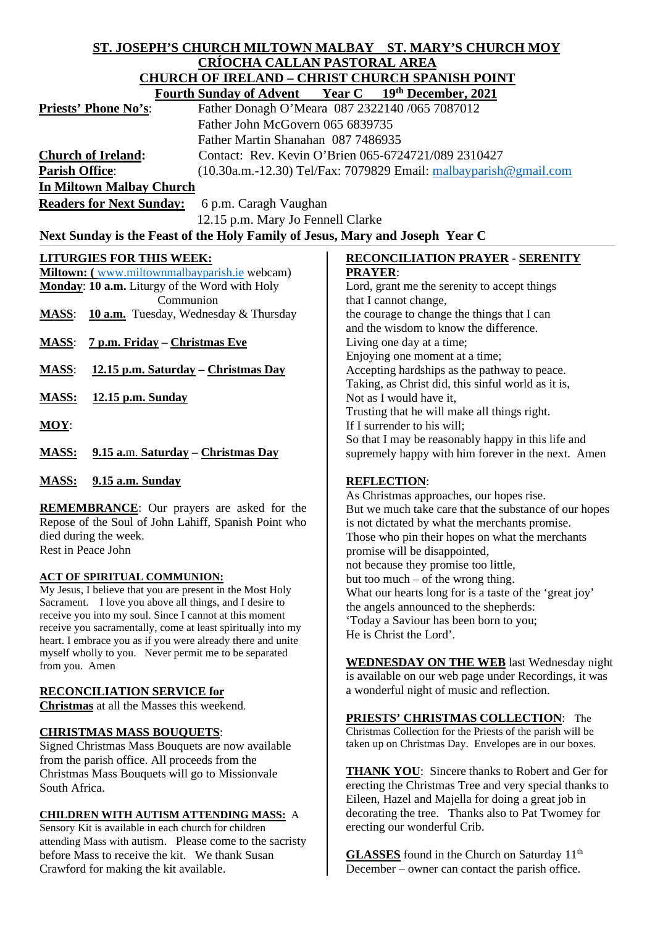# **ST. JOSEPH'S CHURCH MILTOWN MALBAY ST. MARY'S CHURCH MOY CRÍOCHA CALLAN PASTORAL AREA CHURCH OF IRELAND – CHRIST CHURCH SPANISH POINT**

|                                                                                  | Fourth Sunday of Advent Year C 19th December, 2021 |  |                                                                  |                                                    |  |
|----------------------------------------------------------------------------------|----------------------------------------------------|--|------------------------------------------------------------------|----------------------------------------------------|--|
| <b>Priests' Phone No's:</b>                                                      | Father Donagh O'Meara 087 2322140 /065 7087012     |  |                                                                  |                                                    |  |
| Father John McGovern 065 6839735                                                 |                                                    |  |                                                                  |                                                    |  |
| Father Martin Shanahan 087 7486935                                               |                                                    |  |                                                                  |                                                    |  |
| Contact: Rev. Kevin O'Brien 065-6724721/089 2310427<br><b>Church of Ireland:</b> |                                                    |  |                                                                  |                                                    |  |
| <b>Parish Office:</b>                                                            |                                                    |  | (10.30a.m.-12.30) Tel/Fax: 7079829 Email: malbayparish@gmail.com |                                                    |  |
| <b>In Miltown Malbay Church</b>                                                  |                                                    |  |                                                                  |                                                    |  |
| <b>Readers for Next Sunday:</b><br>6 p.m. Caragh Vaughan                         |                                                    |  |                                                                  |                                                    |  |
| 12.15 p.m. Mary Jo Fennell Clarke                                                |                                                    |  |                                                                  |                                                    |  |
| Next Sunday is the Feast of the Holy Family of Jesus, Mary and Joseph Year C     |                                                    |  |                                                                  |                                                    |  |
| <b>LITURGIES FOR THIS WEEK:</b>                                                  |                                                    |  |                                                                  | <b>RECONCILIATION PRAYER - SERENITY</b>            |  |
| <b>Miltown:</b> (www.miltownmalbayparish.ie webcam)                              |                                                    |  | <b>PRAYER:</b>                                                   |                                                    |  |
| <b>Monday: 10 a.m.</b> Liturgy of the Word with Holy                             |                                                    |  | Lord, grant me the serenity to accept things                     |                                                    |  |
| Communion                                                                        |                                                    |  | that I cannot change,                                            |                                                    |  |
| <b>MASS:</b> 10 <b>a.m.</b> Tuesday, Wednesday & Thursday                        |                                                    |  | the courage to change the things that I can                      |                                                    |  |
|                                                                                  |                                                    |  |                                                                  | and the wisdom to know the difference.             |  |
| <u>7 p.m. Friday – Christmas Eve</u><br><b>MASS:</b>                             |                                                    |  | Living one day at a time;                                        |                                                    |  |
|                                                                                  |                                                    |  |                                                                  | Enjoying one moment at a time;                     |  |
| 12.15 p.m. Saturday – Christmas Day<br><b>MASS:</b>                              |                                                    |  |                                                                  | Accepting hardships as the pathway to peace.       |  |
|                                                                                  |                                                    |  |                                                                  | Taking, as Christ did, this sinful world as it is, |  |
| <b>MASS:</b><br>$12.15$ p.m. Sunday                                              |                                                    |  | Not as I would have it,                                          |                                                    |  |

- **MOY**:
- **MASS: 9.15 a.**m. **Saturday – Christmas Day**
- **MASS: 9.15 a.m. Sunday**

**REMEMBRANCE**: Our prayers are asked for the Repose of the Soul of John Lahiff, Spanish Point who died during the week. Rest in Peace John

### **ACT OF SPIRITUAL COMMUNION:**

My Jesus, I believe that you are present in the Most Holy Sacrament. I love you above all things, and I desire to receive you into my soul. Since I cannot at this moment receive you sacramentally, come at least spiritually into my heart. I embrace you as if you were already there and unite myself wholly to you. Never permit me to be separated from you. Amen

#### **RECONCILIATION SERVICE for**

**Christmas** at all the Masses this weekend.

### **CHRISTMAS MASS BOUQUETS**:

Signed Christmas Mass Bouquets are now available from the parish office. All proceeds from the Christmas Mass Bouquets will go to Missionvale South Africa.

#### **CHILDREN WITH AUTISM ATTENDING MASS:** A

Sensory Kit is available in each church for children attending Mass with autism. Please come to the sacristy before Mass to receive the kit. We thank Susan Crawford for making the kit available.

Not as I would have it, Trusting that he will make all things right. If I surrender to his will; So that I may be reasonably happy in this life and supremely happy with him forever in the next. Amen

### **REFLECTION**:

As Christmas approaches, our hopes rise. But we much take care that the substance of our hopes is not dictated by what the merchants promise. Those who pin their hopes on what the merchants promise will be disappointed, not because they promise too little, but too much – of the wrong thing. What our hearts long for is a taste of the 'great joy' the angels announced to the shepherds: 'Today a Saviour has been born to you; He is Christ the Lord'.

**WEDNESDAY ON THE WEB** last Wednesday night is available on our web page under Recordings, it was a wonderful night of music and reflection.

**PRIESTS' CHRISTMAS COLLECTION**: The Christmas Collection for the Priests of the parish will be taken up on Christmas Day. Envelopes are in our boxes.

**THANK YOU**: Sincere thanks to Robert and Ger for erecting the Christmas Tree and very special thanks to Eileen, Hazel and Majella for doing a great job in decorating the tree. Thanks also to Pat Twomey for erecting our wonderful Crib.

**GLASSES** found in the Church on Saturday 11<sup>th</sup> December – owner can contact the parish office.